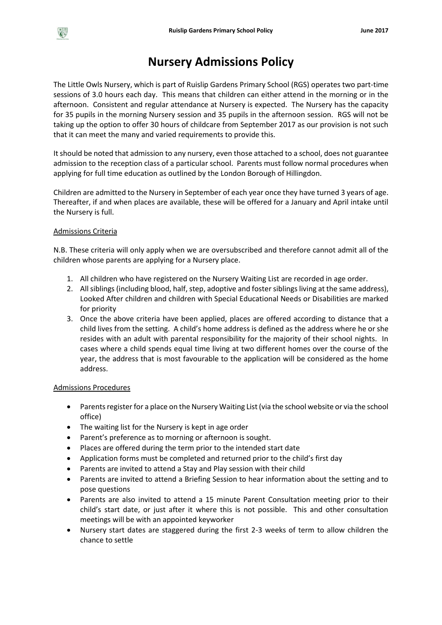## $\frac{R}{s}$

# **Nursery Admissions Policy**

The Little Owls Nursery, which is part of Ruislip Gardens Primary School (RGS) operates two part-time sessions of 3.0 hours each day. This means that children can either attend in the morning or in the afternoon. Consistent and regular attendance at Nursery is expected. The Nursery has the capacity for 35 pupils in the morning Nursery session and 35 pupils in the afternoon session. RGS will not be taking up the option to offer 30 hours of childcare from September 2017 as our provision is not such that it can meet the many and varied requirements to provide this.

It should be noted that admission to any nursery, even those attached to a school, does not guarantee admission to the reception class of a particular school. Parents must follow normal procedures when applying for full time education as outlined by the London Borough of Hillingdon.

Children are admitted to the Nursery in September of each year once they have turned 3 years of age. Thereafter, if and when places are available, these will be offered for a January and April intake until the Nursery is full.

### Admissions Criteria

N.B. These criteria will only apply when we are oversubscribed and therefore cannot admit all of the children whose parents are applying for a Nursery place.

- 1. All children who have registered on the Nursery Waiting List are recorded in age order.
- 2. All siblings (including blood, half, step, adoptive and foster siblings living at the same address), Looked After children and children with Special Educational Needs or Disabilities are marked for priority
- 3. Once the above criteria have been applied, places are offered according to distance that a child lives from the setting. A child's home address is defined as the address where he or she resides with an adult with parental responsibility for the majority of their school nights. In cases where a child spends equal time living at two different homes over the course of the year, the address that is most favourable to the application will be considered as the home address.

### Admissions Procedures

- Parents register for a place on the Nursery Waiting List (via the school website or via the school office)
- The waiting list for the Nursery is kept in age order
- Parent's preference as to morning or afternoon is sought.
- Places are offered during the term prior to the intended start date
- Application forms must be completed and returned prior to the child's first day
- Parents are invited to attend a Stay and Play session with their child
- Parents are invited to attend a Briefing Session to hear information about the setting and to pose questions
- Parents are also invited to attend a 15 minute Parent Consultation meeting prior to their child's start date, or just after it where this is not possible. This and other consultation meetings will be with an appointed keyworker
- Nursery start dates are staggered during the first 2-3 weeks of term to allow children the chance to settle